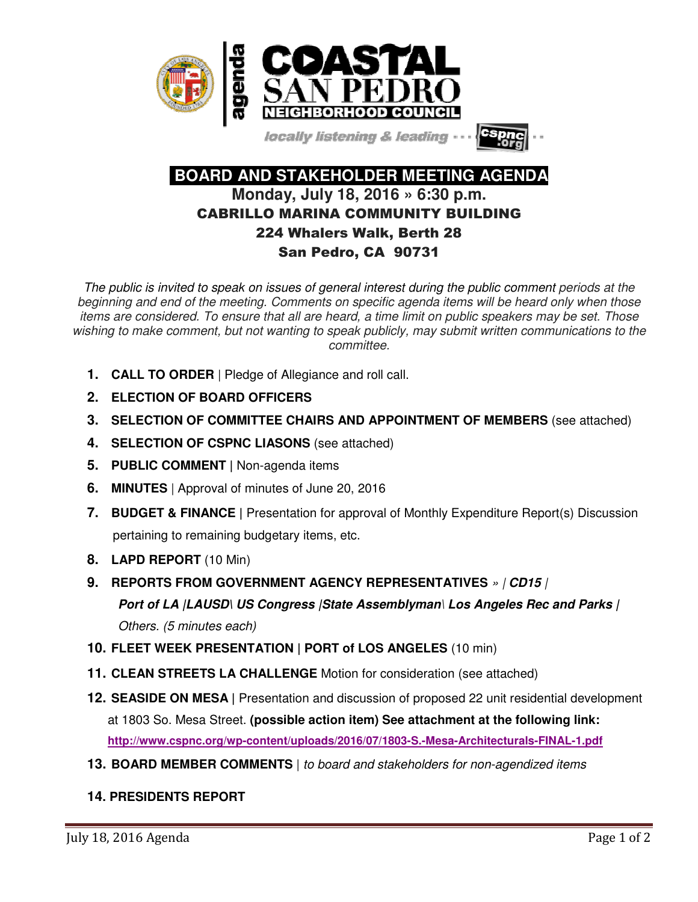

locally listening & leading -



 **BOARD AND STAKEHOLDER MEETING AGENDA Monday, July 18, 2016 » 6:30 p.m.**  CABRILLO MARINA COMMUNITY BUILDING 224 Whalers Walk, Berth 28

# San Pedro, CA 90731

The public is invited to speak on issues of general interest during the public comment periods at the beginning and end of the meeting. Comments on specific agenda items will be heard only when those items are considered. To ensure that all are heard, a time limit on public speakers may be set. Those wishing to make comment, but not wanting to speak publicly, may submit written communications to the committee.

- **1. CALL TO ORDER** | Pledge of Allegiance and roll call.
- **2. ELECTION OF BOARD OFFICERS**
- **3. SELECTION OF COMMITTEE CHAIRS AND APPOINTMENT OF MEMBERS** (see attached)
- **4. SELECTION OF CSPNC LIASONS** (see attached)
- **5. PUBLIC COMMENT |** Non-agenda items
- **6. MINUTES** | Approval of minutes of June 20, 2016
- **7. BUDGET & FINANCE |** Presentation for approval of Monthly Expenditure Report(s) Discussion pertaining to remaining budgetary items, etc.
- **8. LAPD REPORT** (10 Min)
- **9. REPORTS FROM GOVERNMENT AGENCY REPRESENTATIVES** » | **CD15** | **Port of LA |LAUSD\ US Congress |State Assemblyman**\ **Los Angeles Rec and Parks |**  Others. (5 minutes each)
- **10. FLEET WEEK PRESENTATION | PORT of LOS ANGELES** (10 min)
- **11. CLEAN STREETS LA CHALLENGE** Motion for consideration (see attached)
- **12. SEASIDE ON MESA |** Presentation and discussion of proposed 22 unit residential development at 1803 So. Mesa Street. **(possible action item) See attachment at the following link: http://www.cspnc.org/wp-content/uploads/2016/07/1803-S.-Mesa-Architecturals-FINAL-1.pdf**
- **13. BOARD MEMBER COMMENTS** | to board and stakeholders for non-agendized items

## **14. PRESIDENTS REPORT**